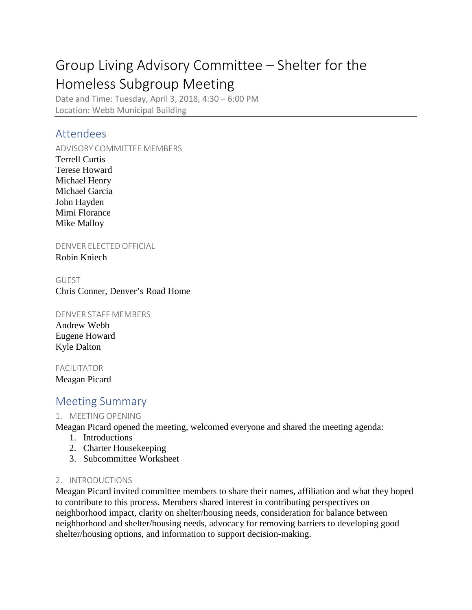# Group Living Advisory Committee – Shelter for the Homeless Subgroup Meeting

Date and Time: Tuesday, April 3, 2018, 4:30 – 6:00 PM Location: Webb Municipal Building

# Attendees

ADVISORY COMMITTEE MEMBERS Terrell Curtis Terese Howard Michael Henry Michael Garcia John Hayden Mimi Florance Mike Malloy

DENVER ELECTED OFFICIAL

Robin Kniech

## GUEST

Chris Conner, Denver's Road Home

#### DENVER STAFF MEMBERS

Andrew Webb Eugene Howard Kyle Dalton

FACILITATOR

Meagan Picard

# Meeting Summary

## 1. MEETING OPENING

Meagan Picard opened the meeting, welcomed everyone and shared the meeting agenda:

- 1. Introductions
- 2. Charter Housekeeping
- 3. Subcommittee Worksheet

## 2. INTRODUCTIONS

Meagan Picard invited committee members to share their names, affiliation and what they hoped to contribute to this process. Members shared interest in contributing perspectives on neighborhood impact, clarity on shelter/housing needs, consideration for balance between neighborhood and shelter/housing needs, advocacy for removing barriers to developing good shelter/housing options, and information to support decision-making.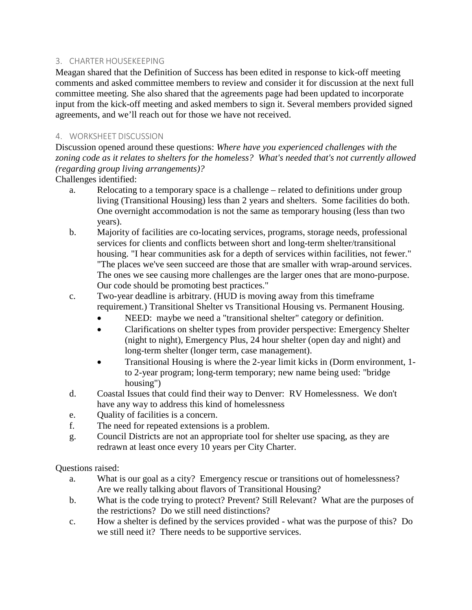## 3. CHARTER HOUSEKEEPING

Meagan shared that the Definition of Success has been edited in response to kick-off meeting comments and asked committee members to review and consider it for discussion at the next full committee meeting. She also shared that the agreements page had been updated to incorporate input from the kick-off meeting and asked members to sign it. Several members provided signed agreements, and we'll reach out for those we have not received.

#### 4. WORKSHEET DISCUSSION

Discussion opened around these questions: *Where have you experienced challenges with the zoning code as it relates to shelters for the homeless? What's needed that's not currently allowed (regarding group living arrangements)?*

Challenges identified:

- a. Relocating to a temporary space is a challenge related to definitions under group living (Transitional Housing) less than 2 years and shelters. Some facilities do both. One overnight accommodation is not the same as temporary housing (less than two years).
- b. Majority of facilities are co-locating services, programs, storage needs, professional services for clients and conflicts between short and long-term shelter/transitional housing. "I hear communities ask for a depth of services within facilities, not fewer." "The places we've seen succeed are those that are smaller with wrap-around services. The ones we see causing more challenges are the larger ones that are mono-purpose. Our code should be promoting best practices."
- c. Two-year deadline is arbitrary. (HUD is moving away from this timeframe requirement.) Transitional Shelter vs Transitional Housing vs. Permanent Housing.
	- NEED: maybe we need a "transitional shelter" category or definition.
	- Clarifications on shelter types from provider perspective: Emergency Shelter (night to night), Emergency Plus, 24 hour shelter (open day and night) and long-term shelter (longer term, case management).
	- Transitional Housing is where the 2-year limit kicks in (Dorm environment, 1 to 2-year program; long-term temporary; new name being used: "bridge housing")
- d. Coastal Issues that could find their way to Denver: RV Homelessness. We don't have any way to address this kind of homelessness
- e. Quality of facilities is a concern.
- f. The need for repeated extensions is a problem.
- g. Council Districts are not an appropriate tool for shelter use spacing, as they are redrawn at least once every 10 years per City Charter.

Questions raised:

- a. What is our goal as a city? Emergency rescue or transitions out of homelessness? Are we really talking about flavors of Transitional Housing?
- b. What is the code trying to protect? Prevent? Still Relevant? What are the purposes of the restrictions? Do we still need distinctions?
- c. How a shelter is defined by the services provided what was the purpose of this? Do we still need it? There needs to be supportive services.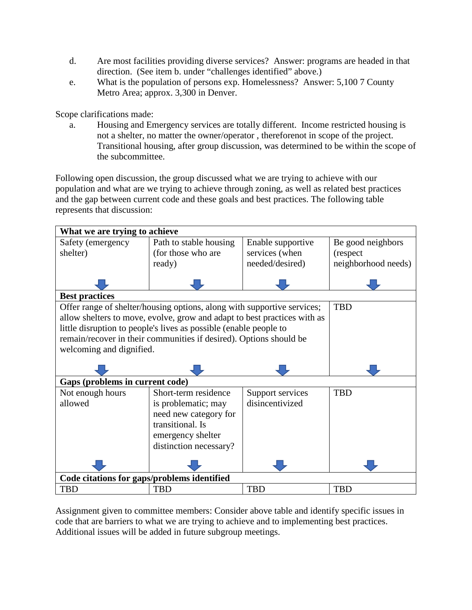- d. Are most facilities providing diverse services? Answer: programs are headed in that direction. (See item b. under "challenges identified" above.)
- e. What is the population of persons exp. Homelessness? Answer: 5,100 7 County Metro Area; approx. 3,300 in Denver.

Scope clarifications made:

a. Housing and Emergency services are totally different. Income restricted housing is not a shelter, no matter the owner/operator , thereforenot in scope of the project. Transitional housing, after group discussion, was determined to be within the scope of the subcommittee.

Following open discussion, the group discussed what we are trying to achieve with our population and what are we trying to achieve through zoning, as well as related best practices and the gap between current code and these goals and best practices. The following table represents that discussion:

| What we are trying to achieve                                            |                        |                   |                     |
|--------------------------------------------------------------------------|------------------------|-------------------|---------------------|
| Safety (emergency                                                        | Path to stable housing | Enable supportive | Be good neighbors   |
| shelter)                                                                 | (for those who are     | services (when    | (respect            |
|                                                                          | ready)                 | needed/desired)   | neighborhood needs) |
|                                                                          |                        |                   |                     |
| <b>Best practices</b>                                                    |                        |                   |                     |
| Offer range of shelter/housing options, along with supportive services;  |                        |                   | <b>TBD</b>          |
| allow shelters to move, evolve, grow and adapt to best practices with as |                        |                   |                     |
| little disruption to people's lives as possible (enable people to        |                        |                   |                     |
| remain/recover in their communities if desired). Options should be       |                        |                   |                     |
| welcoming and dignified.                                                 |                        |                   |                     |
|                                                                          |                        |                   |                     |
|                                                                          |                        |                   |                     |
| Gaps (problems in current code)                                          |                        |                   |                     |
|                                                                          |                        |                   |                     |
| Not enough hours                                                         | Short-term residence   | Support services  | <b>TBD</b>          |
| allowed                                                                  | is problematic; may    | disincentivized   |                     |
|                                                                          | need new category for  |                   |                     |
|                                                                          | transitional. Is       |                   |                     |
|                                                                          | emergency shelter      |                   |                     |
|                                                                          | distinction necessary? |                   |                     |
|                                                                          |                        |                   |                     |
| Code citations for gaps/problems identified                              |                        |                   |                     |

Assignment given to committee members: Consider above table and identify specific issues in code that are barriers to what we are trying to achieve and to implementing best practices. Additional issues will be added in future subgroup meetings.